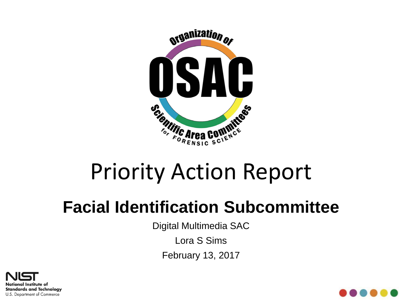

# Priority Action Report

#### **Facial Identification Subcommittee**

Digital Multimedia SAC

Lora S Sims

February 13, 2017



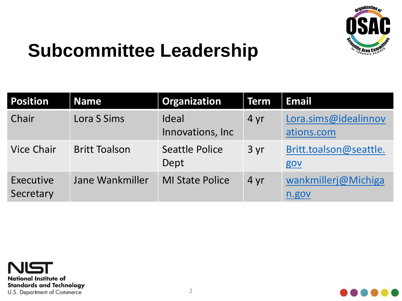

### **Subcommittee Leadership**

| <b>Position</b>        | <b>Name</b>          | Organization               | <b>Term</b> | <b>Email</b>                       |
|------------------------|----------------------|----------------------------|-------------|------------------------------------|
| Chair                  | Lora S Sims          | Ideal<br>Innovations, Inc. | 4 yr        | Lora.sims@idealinnov<br>ations.com |
| <b>Vice Chair</b>      | <b>Britt Toalson</b> | Seattle Police<br>Dept     | 3yr         | Britt.toalson@seattle.<br>gov      |
| Executive<br>Secretary | Jane Wankmiller      | <b>MI State Police</b>     | 4 yr        | wankmillerj@Michiga<br>n.gov       |



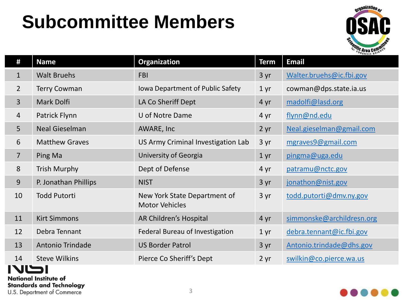# **Subcommittee Members**



| #              | <b>Name</b>             | <b>Organization</b>                                   | <b>Term</b>     | <b>Email</b>              |
|----------------|-------------------------|-------------------------------------------------------|-----------------|---------------------------|
| $\mathbf{1}$   | <b>Walt Bruehs</b>      | <b>FBI</b>                                            | 3 yr            | Walter.bruehs@ic.fbi.gov  |
| $\overline{2}$ | <b>Terry Cowman</b>     | Iowa Department of Public Safety                      | 1 <sub>yr</sub> | cowman@dps.state.ia.us    |
| $\overline{3}$ | Mark Dolfi              | LA Co Sheriff Dept                                    | 4 yr            | madolfi@lasd.org          |
| $\overline{4}$ | Patrick Flynn           | U of Notre Dame                                       | 4 yr            | flynn@nd.edu              |
| 5 <sup>1</sup> | <b>Neal Gieselman</b>   | AWARE, Inc                                            | 2 yr            | Neal.gieselman@gmail.com  |
| 6              | <b>Matthew Graves</b>   | US Army Criminal Investigation Lab                    | 3 yr            | mgraves9@gmail.com        |
| $\overline{7}$ | Ping Ma                 | University of Georgia                                 | 1 <sub>yr</sub> | pingma@uga.edu            |
| 8              | <b>Trish Murphy</b>     | Dept of Defense                                       | 4 yr            | patramu@nctc.gov          |
| 9              | P. Jonathan Phillips    | <b>NIST</b>                                           | 3 yr            | jonathon@nist.gov         |
| 10             | <b>Todd Putorti</b>     | New York State Department of<br><b>Motor Vehicles</b> | 3 yr            | todd.putorti@dmv.ny.gov   |
| 11             | <b>Kirt Simmons</b>     | AR Children's Hospital                                | 4 yr            | simmonske@archildresn.org |
| 12             | Debra Tennant           | Federal Bureau of Investigation                       | 1 <sub>yr</sub> | debra.tennant@ic.fbi.gov  |
| 13             | <b>Antonio Trindade</b> | <b>US Border Patrol</b>                               | 3 yr            | Antonio.trindade@dhs.gov  |
| 14             | <b>Steve Wilkins</b>    | Pierce Co Sheriff's Dept                              | 2 yr            | swilkin@co.pierce.wa.us   |

#### IVLSI

**National Institute of Standards and Technology** 

U.S. Department of Commerce

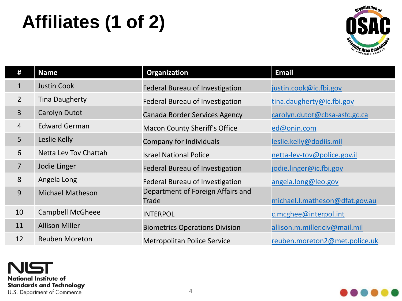# **Affiliates (1 of 2)**



| #              | <b>Name</b>             | Organization                               | <b>Email</b>                   |
|----------------|-------------------------|--------------------------------------------|--------------------------------|
| $\mathbf{1}$   | <b>Justin Cook</b>      | Federal Bureau of Investigation            | justin.cook@ic.fbi.gov         |
| $\overline{2}$ | <b>Tina Daugherty</b>   | Federal Bureau of Investigation            | tina.daugherty@ic.fbi.gov      |
| $\overline{3}$ | Carolyn Dutot           | Canada Border Services Agency              | carolyn.dutot@cbsa-asfc.gc.ca  |
| $\overline{4}$ | <b>Edward German</b>    | <b>Macon County Sheriff's Office</b>       | ed@onin.com                    |
| 5              | Leslie Kelly            | Company for Individuals                    | leslie.kelly@dodiis.mil        |
| 6              | Netta Lev Toy Chattah   | <b>Israel National Police</b>              | netta-lev-tov@police.gov.il    |
| 7              | Jodie Linger            | Federal Bureau of Investigation            | jodie.linger@ic.fbi.gov        |
| 8              | Angela Long             | Federal Bureau of Investigation            | angela.long@leo.gov            |
| 9              | <b>Michael Matheson</b> | Department of Foreign Affairs and<br>Trade | michael.l.matheson@dfat.gov.au |
| 10             | <b>Campbell McGheee</b> | <b>INTERPOL</b>                            | c.mcghee@interpol.int          |
| 11             | <b>Allison Miller</b>   | <b>Biometrics Operations Division</b>      | allison.m.miller.civ@mail.mil  |
| 12             | <b>Reuben Moreton</b>   | <b>Metropolitan Police Service</b>         | reuben.moreton2@met.police.uk  |

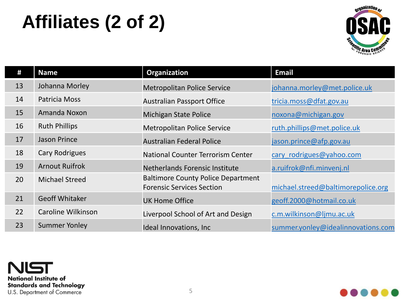# **Affiliates (2 of 2)**



| #  | <b>Name</b>           | Organization                                                                  | <b>Email</b>                       |
|----|-----------------------|-------------------------------------------------------------------------------|------------------------------------|
| 13 | Johanna Morley        | <b>Metropolitan Police Service</b>                                            | johanna.morley@met.police.uk       |
| 14 | Patricia Moss         | <b>Australian Passport Office</b>                                             | tricia.moss@dfat.gov.au            |
| 15 | Amanda Noxon          | <b>Michigan State Police</b>                                                  | noxona@michigan.gov                |
| 16 | <b>Ruth Phillips</b>  | <b>Metropolitan Police Service</b>                                            | ruth.phillips@met.police.uk        |
| 17 | <b>Jason Prince</b>   | <b>Australian Federal Police</b>                                              | jason.prince@afp.gov.au            |
| 18 | <b>Cary Rodrigues</b> | National Counter Terrorism Center                                             | cary rodrigues@yahoo.com           |
| 19 | <b>Arnout Ruifrok</b> | Netherlands Forensic Institute                                                | a.ruifrok@nfi.minvenj.nl           |
| 20 | <b>Michael Streed</b> | <b>Baltimore County Police Department</b><br><b>Forensic Services Section</b> | michael.streed@baltimorepolice.org |
| 21 | <b>Geoff Whitaker</b> | <b>UK Home Office</b>                                                         | geoff.2000@hotmail.co.uk           |
| 22 | Caroline Wilkinson    | Liverpool School of Art and Design                                            | c.m.wilkinson@ljmu.ac.uk           |
| 23 | <b>Summer Yonley</b>  | Ideal Innovations, Inc.                                                       | summer.yonley@idealinnovations.com |

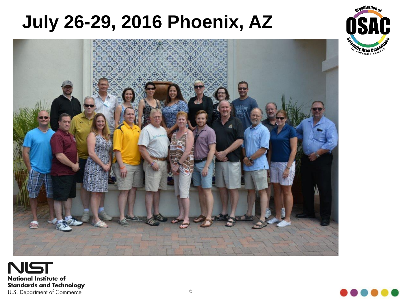## **July 26-29, 2016 Phoenix, AZ**







**Arganization** 

**HITIC Area Comp**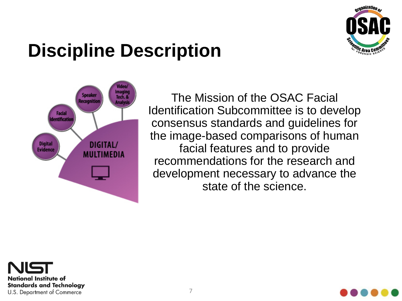

## **Discipline Description**



The Mission of the OSAC Facial Identification Subcommittee is to develop consensus standards and guidelines for the image-based comparisons of human facial features and to provide recommendations for the research and development necessary to advance the state of the science.



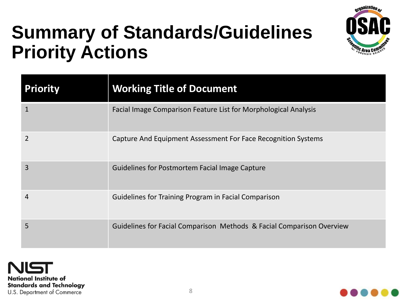

## **Summary of Standards/Guidelines Priority Actions**

| <b>Priority</b> | <b>Working Title of Document</b>                                      |
|-----------------|-----------------------------------------------------------------------|
| $\mathbf{1}$    | Facial Image Comparison Feature List for Morphological Analysis       |
| $\overline{2}$  | Capture And Equipment Assessment For Face Recognition Systems         |
| 3               | Guidelines for Postmortem Facial Image Capture                        |
| 4               | Guidelines for Training Program in Facial Comparison                  |
| 5               | Guidelines for Facial Comparison Methods & Facial Comparison Overview |

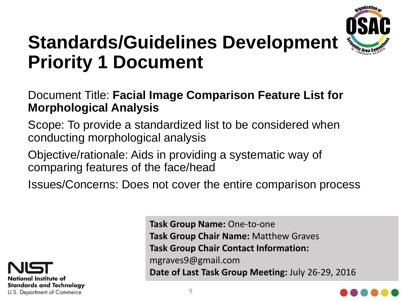

### **Standards/Guidelines Development Priority 1 Document**

#### Document Title: **Facial Image Comparison Feature List for Morphological Analysis**

Scope: To provide a standardized list to be considered when conducting morphological analysis

Objective/rationale: Aids in providing a systematic way of comparing features of the face/head

Issues/Concerns: Does not cover the entire comparison process



**Task Group Name:** One-to-one **Task Group Chair Name:** Matthew Graves **Task Group Chair Contact Information:** mgraves9@gmail.com **Date of Last Task Group Meeting:** July 26-29, 2016

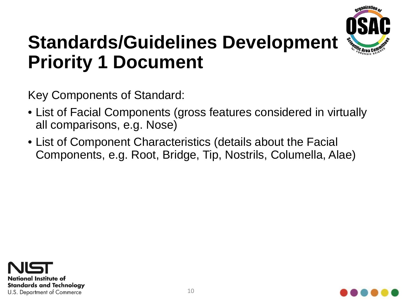

### **Standards/Guidelines Development Priority 1 Document**

Key Components of Standard:

- List of Facial Components (gross features considered in virtually all comparisons, e.g. Nose)
- List of Component Characteristics (details about the Facial Components, e.g. Root, Bridge, Tip, Nostrils, Columella, Alae)



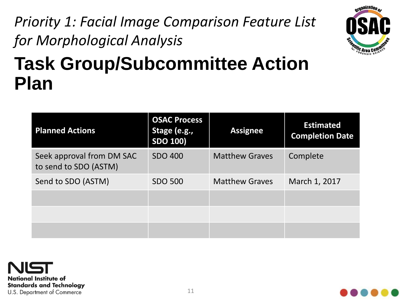#### *Priority 1: Facial Image Comparison Feature List for Morphological Analysis*



## **Task Group/Subcommittee Action Plan**

| <b>Planned Actions</b>                             | <b>OSAC Process</b><br>Stage (e.g.,<br><b>SDO 100)</b> | <b>Assignee</b>       | <b>Estimated</b><br><b>Completion Date</b> |
|----------------------------------------------------|--------------------------------------------------------|-----------------------|--------------------------------------------|
| Seek approval from DM SAC<br>to send to SDO (ASTM) | <b>SDO 400</b>                                         | <b>Matthew Graves</b> | Complete                                   |
| Send to SDO (ASTM)                                 | <b>SDO 500</b>                                         | <b>Matthew Graves</b> | March 1, 2017                              |
|                                                    |                                                        |                       |                                            |
|                                                    |                                                        |                       |                                            |
|                                                    |                                                        |                       |                                            |



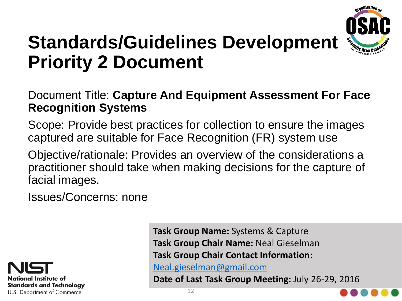

### **Standards/Guidelines Development Priority 2 Document**

#### Document Title: **Capture And Equipment Assessment For Face Recognition Systems**

Scope: Provide best practices for collection to ensure the images captured are suitable for Face Recognition (FR) system use

Objective/rationale: Provides an overview of the considerations a practitioner should take when making decisions for the capture of facial images.

Issues/Concerns: none



**Task Group Name:** Systems & Capture **Task Group Chair Name:** Neal Gieselman **Task Group Chair Contact Information:**

[Neal.gieselman@gmail.com](mailto:Neal.gieselman@gmail.com)

**Date of Last Task Group Meeting:** July 26-29, 2016

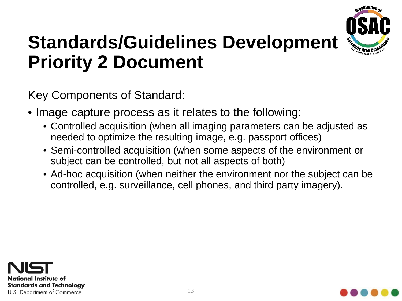

### **Standards/Guidelines Development Priority 2 Document**

Key Components of Standard:

- Image capture process as it relates to the following:
	- Controlled acquisition (when all imaging parameters can be adjusted as needed to optimize the resulting image, e.g. passport offices)
	- Semi-controlled acquisition (when some aspects of the environment or subject can be controlled, but not all aspects of both)
	- Ad-hoc acquisition (when neither the environment nor the subject can be controlled, e.g. surveillance, cell phones, and third party imagery).



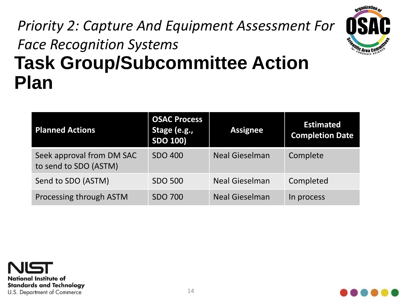#### **Task Group/Subcommittee Action Plan** *Priority 2: Capture And Equipment Assessment For Face Recognition Systems*



| <b>Planned Actions</b>                             | <b>OSAC Process</b><br>Stage (e.g.,<br><b>SDO 100)</b> | <b>Assignee</b>       | <b>Estimated</b><br><b>Completion Date</b> |
|----------------------------------------------------|--------------------------------------------------------|-----------------------|--------------------------------------------|
| Seek approval from DM SAC<br>to send to SDO (ASTM) | <b>SDO 400</b>                                         | <b>Neal Gieselman</b> | Complete                                   |
| Send to SDO (ASTM)                                 | <b>SDO 500</b>                                         | <b>Neal Gieselman</b> | Completed                                  |
| Processing through ASTM                            | <b>SDO 700</b>                                         | <b>Neal Gieselman</b> | In process                                 |



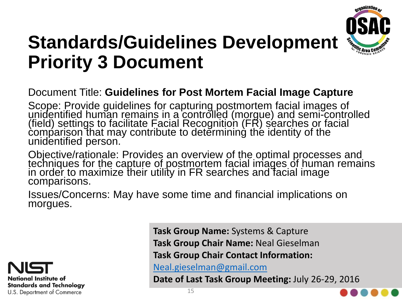

### **Standards/Guidelines Development Priority 3 Document**

#### Document Title: **Guidelines for Post Mortem Facial Image Capture**

Scope: Provide guidelines for capturing postmortem facial images of unidentified human remains in a controlled (morgue) and semi-controlled (field) settings to facilitate Facial Recognition (FR) searches or facial comparison that may contribute to determining the identity of the unidentified person.

Objective/rationale: Provides an overview of the optimal processes and techniques for the capture of postmortem facial images of human remains in order to maximize their utility in FR searches and facial image comparisons.

Issues/Concerns: May have some time and financial implications on morgues.



**Task Group Name:** Systems & Capture **Task Group Chair Name:** Neal Gieselman **Task Group Chair Contact Information:**

[Neal.gieselman@gmail.com](mailto:Neal.gieselman@gmail.com)

**Date of Last Task Group Meeting:** July 26-29, 2016

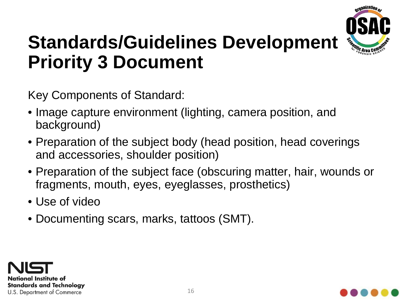

### **Standards/Guidelines Development Priority 3 Document**

Key Components of Standard:

- Image capture environment (lighting, camera position, and background)
- Preparation of the subject body (head position, head coverings and accessories, shoulder position)
- Preparation of the subject face (obscuring matter, hair, wounds or fragments, mouth, eyes, eyeglasses, prosthetics)
- Use of video
- Documenting scars, marks, tattoos (SMT).



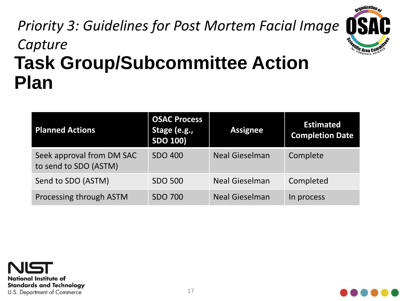#### **Task Group/Subcommittee Action Plan** *Priority 3: Guidelines for Post Mortem Facial Image Capture*

| <b>Planned Actions</b>                             | <b>OSAC Process</b><br>Stage (e.g.,<br><b>SDO 100)</b> | <b>Assignee</b>       | <b>Estimated</b><br><b>Completion Date</b> |
|----------------------------------------------------|--------------------------------------------------------|-----------------------|--------------------------------------------|
| Seek approval from DM SAC<br>to send to SDO (ASTM) | <b>SDO 400</b>                                         | <b>Neal Gieselman</b> | Complete                                   |
| Send to SDO (ASTM)                                 | <b>SDO 500</b>                                         | <b>Neal Gieselman</b> | Completed                                  |
| Processing through ASTM                            | <b>SDO 700</b>                                         | <b>Neal Gieselman</b> | In process                                 |





**Organization** 

SCIENTIFIC Area Com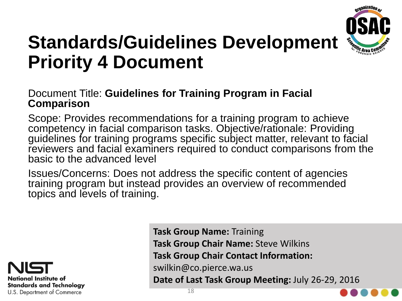

### **Standards/Guidelines Development Priority 4 Document**

#### Document Title: **Guidelines for Training Program in Facial Comparison**

Scope: Provides recommendations for a training program to achieve competency in facial comparison tasks. Objective/rationale: Providing guidelines for training programs specific subject matter, relevant to facial reviewers and facial examiners required to conduct comparisons from the basic to the advanced level

Issues/Concerns: Does not address the specific content of agencies training program but instead provides an overview of recommended topics and levels of training.



**Task Group Name:** Training **Task Group Chair Name:** Steve Wilkins **Task Group Chair Contact Information:** swilkin@co.pierce.wa.us **Date of Last Task Group Meeting:** July 26-29, 2016

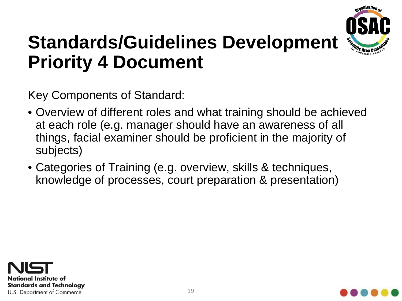

### **Standards/Guidelines Development Priority 4 Document**

Key Components of Standard:

- Overview of different roles and what training should be achieved at each role (e.g. manager should have an awareness of all things, facial examiner should be proficient in the majority of subjects)
- Categories of Training (e.g. overview, skills & techniques, knowledge of processes, court preparation & presentation)



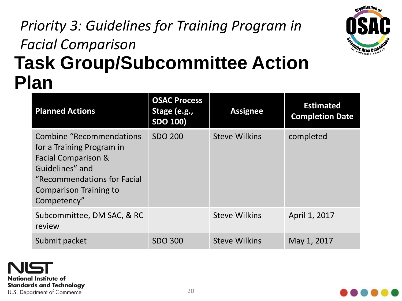#### **Task Group/Subcommittee Action Plan** *Priority 3: Guidelines for Training Program in Facial Comparison*



| <b>Planned Actions</b>                                                                                                                                                          | <b>OSAC Process</b><br>Stage (e.g.,<br><b>SDO 100)</b> | <b>Assignee</b>      | <b>Estimated</b><br><b>Completion Date</b> |
|---------------------------------------------------------------------------------------------------------------------------------------------------------------------------------|--------------------------------------------------------|----------------------|--------------------------------------------|
| Combine "Recommendations"<br>for a Training Program in<br>Facial Comparison &<br>Guidelines" and<br>"Recommendations for Facial<br><b>Comparison Training to</b><br>Competency" | <b>SDO 200</b>                                         | <b>Steve Wilkins</b> | completed                                  |
| Subcommittee, DM SAC, & RC<br>review                                                                                                                                            |                                                        | <b>Steve Wilkins</b> | April 1, 2017                              |
| Submit packet                                                                                                                                                                   | <b>SDO 300</b>                                         | <b>Steve Wilkins</b> | May 1, 2017                                |

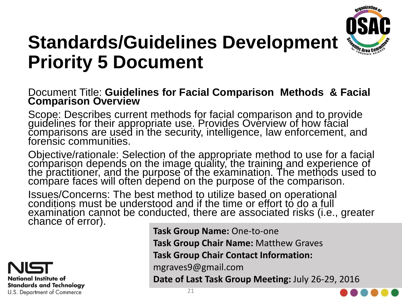

### **Standards/Guidelines Development Priority 5 Document**

#### Document Title: **Guidelines for Facial Comparison Methods & Facial Comparison Overview**

Scope: Describes current methods for facial comparison and to provide guidelines for their appropriate use. Provides Overview of how facial comparisons are used in the security, intelligence, law enforcement, and forensic communities.

Objective/rationale: Selection of the appropriate method to use for a facial comparison depends on the image quality, the training and experience of the practitioner, and the purpose of the examination. The methods used to compare faces will often depend on the purpose of the comparison.

Issues/Concerns: The best method to utilize based on operational conditions must be understood and if the time or effort to do a full examination cannot be conducted, there are associated risks (i.e., greater chance of error).

National Institute of **Standards and Technology** U.S. Department of Commerce

**Task Group Name:** One-to-one **Task Group Chair Name:** Matthew Graves

**Task Group Chair Contact Information:**

mgraves9@gmail.com

**Date of Last Task Group Meeting:** July 26-29, 2016

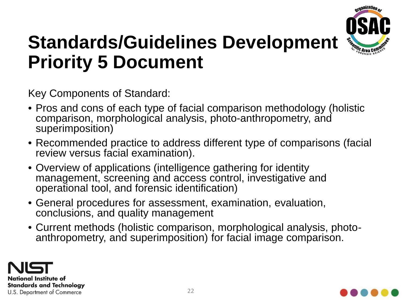

### **Standards/Guidelines Development Priority 5 Document**

Key Components of Standard:

- Pros and cons of each type of facial comparison methodology (holistic comparison, morphological analysis, photo-anthropometry, and superimposition)
- Recommended practice to address different type of comparisons (facial review versus facial examination).
- Overview of applications (intelligence gathering for identity management, screening and access control, investigative and operational tool, and forensic identification)
- General procedures for assessment, examination, evaluation, conclusions, and quality management
- Current methods (holistic comparison, morphological analysis, photo- anthropometry, and superimposition) for facial image comparison.



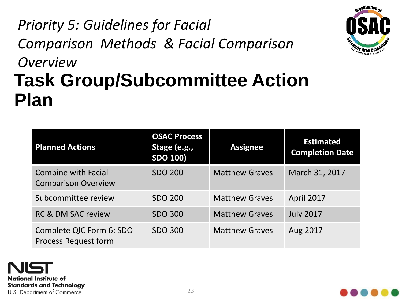#### **Task Group/Subcommittee Action Plan** *Priority 5: Guidelines for Facial Comparison Methods & Facial Comparison Overview*

| <b>Planned Actions</b>                                   | <b>OSAC Process</b><br>Stage (e.g.,<br><b>SDO 100)</b> | <b>Assignee</b>       | <b>Estimated</b><br><b>Completion Date</b> |
|----------------------------------------------------------|--------------------------------------------------------|-----------------------|--------------------------------------------|
| <b>Combine with Facial</b><br><b>Comparison Overview</b> | <b>SDO 200</b>                                         | <b>Matthew Graves</b> | March 31, 2017                             |
| Subcommittee review                                      | <b>SDO 200</b>                                         | <b>Matthew Graves</b> | April 2017                                 |
| <b>RC &amp; DM SAC review</b>                            | <b>SDO 300</b>                                         | <b>Matthew Graves</b> | <b>July 2017</b>                           |
| Complete QIC Form 6: SDO<br><b>Process Request form</b>  | <b>SDO 300</b>                                         | <b>Matthew Graves</b> | Aug 2017                                   |





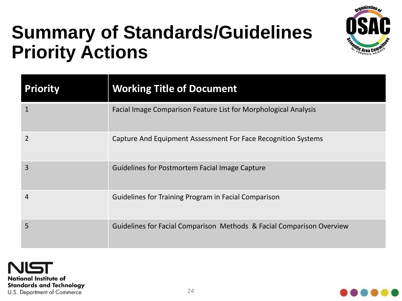

## **Summary of Standards/Guidelines Priority Actions**

| <b>Priority</b> | <b>Working Title of Document</b>                                      |
|-----------------|-----------------------------------------------------------------------|
| $\mathbf{1}$    | Facial Image Comparison Feature List for Morphological Analysis       |
| 2               | Capture And Equipment Assessment For Face Recognition Systems         |
| 3               | <b>Guidelines for Postmortem Facial Image Capture</b>                 |
| 4               | Guidelines for Training Program in Facial Comparison                  |
| 5               | Guidelines for Facial Comparison Methods & Facial Comparison Overview |

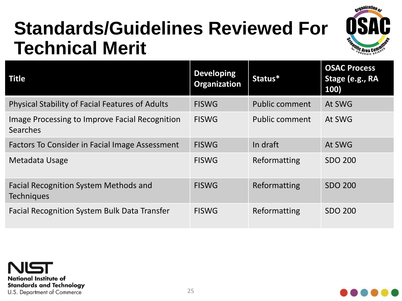## **Standards/Guidelines Reviewed For Technical Merit**



| Title                                                             | <b>Developing</b><br>Organization | Status*               | <b>OSAC Process</b><br>Stage (e.g., RA<br>100) |
|-------------------------------------------------------------------|-----------------------------------|-----------------------|------------------------------------------------|
| <b>Physical Stability of Facial Features of Adults</b>            | <b>FISWG</b>                      | <b>Public comment</b> | At SWG                                         |
| Image Processing to Improve Facial Recognition<br><b>Searches</b> | <b>FISWG</b>                      | Public comment        | At SWG                                         |
| Factors To Consider in Facial Image Assessment                    | <b>FISWG</b>                      | In draft              | At SWG                                         |
| Metadata Usage                                                    | <b>FISWG</b>                      | Reformatting          | <b>SDO 200</b>                                 |
| <b>Facial Recognition System Methods and</b><br><b>Techniques</b> | <b>FISWG</b>                      | Reformatting          | <b>SDO 200</b>                                 |
| <b>Facial Recognition System Bulk Data Transfer</b>               | <b>FISWG</b>                      | Reformatting          | <b>SDO 200</b>                                 |



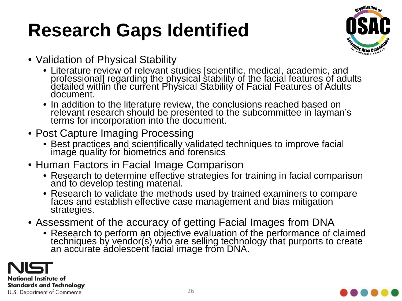# **Research Gaps Identified**



- Validation of Physical Stability
	- Literature review of relevant studies [scientific, medical, academic, and professional] regarding the physical stability of the facial features of adults detailed within the current Physical Stability of Facial Features of Adults document.
	- In addition to the literature review, the conclusions reached based on relevant research should be presented to the subcommittee in layman's terms for incorporation into the document.
- Post Capture Imaging Processing
	- Best practices and scientifically validated techniques to improve facial image quality for biometrics and forensics
- Human Factors in Facial Image Comparison
	- Research to determine effective strategies for training in facial comparison and to develop testing material.
	- Research to validate the methods used by trained examiners to compare faces and establish effective case management and bias mitigation strategies.
- Assessment of the accuracy of getting Facial Images from DNA
	- Research to perform an objective evaluation of the performance of claimed techniques by vendor(s) who are selling technology that purports to create an accurate ádolescent´facial image from DNA.